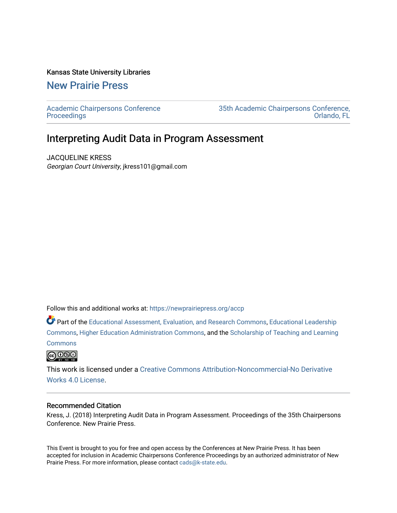#### Kansas State University Libraries

## [New Prairie Press](https://newprairiepress.org/)

[Academic Chairpersons Conference](https://newprairiepress.org/accp)  **Proceedings** 

[35th Academic Chairpersons Conference,](https://newprairiepress.org/accp/2018)  [Orlando, FL](https://newprairiepress.org/accp/2018) 

# Interpreting Audit Data in Program Assessment

JACQUELINE KRESS Georgian Court University, jkress101@gmail.com

Follow this and additional works at: [https://newprairiepress.org/accp](https://newprairiepress.org/accp?utm_source=newprairiepress.org%2Faccp%2F2018%2Fassessment%2F9&utm_medium=PDF&utm_campaign=PDFCoverPages) 

Part of the [Educational Assessment, Evaluation, and Research Commons](http://network.bepress.com/hgg/discipline/796?utm_source=newprairiepress.org%2Faccp%2F2018%2Fassessment%2F9&utm_medium=PDF&utm_campaign=PDFCoverPages), [Educational Leadership](http://network.bepress.com/hgg/discipline/1230?utm_source=newprairiepress.org%2Faccp%2F2018%2Fassessment%2F9&utm_medium=PDF&utm_campaign=PDFCoverPages) [Commons](http://network.bepress.com/hgg/discipline/1230?utm_source=newprairiepress.org%2Faccp%2F2018%2Fassessment%2F9&utm_medium=PDF&utm_campaign=PDFCoverPages), [Higher Education Administration Commons](http://network.bepress.com/hgg/discipline/791?utm_source=newprairiepress.org%2Faccp%2F2018%2Fassessment%2F9&utm_medium=PDF&utm_campaign=PDFCoverPages), and the [Scholarship of Teaching and Learning](http://network.bepress.com/hgg/discipline/1328?utm_source=newprairiepress.org%2Faccp%2F2018%2Fassessment%2F9&utm_medium=PDF&utm_campaign=PDFCoverPages) **[Commons](http://network.bepress.com/hgg/discipline/1328?utm_source=newprairiepress.org%2Faccp%2F2018%2Fassessment%2F9&utm_medium=PDF&utm_campaign=PDFCoverPages)** 

@0®0

This work is licensed under a [Creative Commons Attribution-Noncommercial-No Derivative](https://creativecommons.org/licenses/by-nc-nd/4.0/)  [Works 4.0 License](https://creativecommons.org/licenses/by-nc-nd/4.0/).

#### Recommended Citation

Kress, J. (2018) Interpreting Audit Data in Program Assessment. Proceedings of the 35th Chairpersons Conference. New Prairie Press.

This Event is brought to you for free and open access by the Conferences at New Prairie Press. It has been accepted for inclusion in Academic Chairpersons Conference Proceedings by an authorized administrator of New Prairie Press. For more information, please contact [cads@k-state.edu.](mailto:cads@k-state.edu)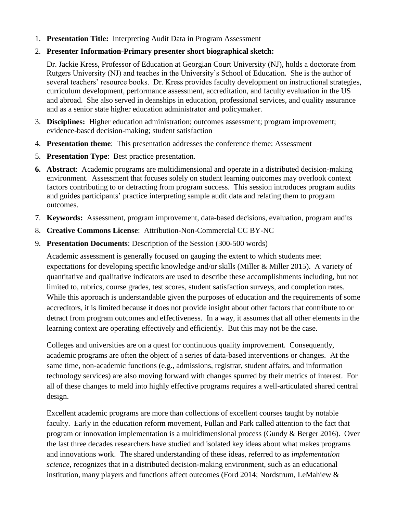1. **Presentation Title:** Interpreting Audit Data in Program Assessment

## 2. **Presenter Information-Primary presenter short biographical sketch:**

Dr. Jackie Kress, Professor of Education at Georgian Court University (NJ), holds a doctorate from Rutgers University (NJ) and teaches in the University's School of Education. She is the author of several teachers' resource books. Dr. Kress provides faculty development on instructional strategies, curriculum development, performance assessment, accreditation, and faculty evaluation in the US and abroad. She also served in deanships in education, professional services, and quality assurance and as a senior state higher education administrator and policymaker.

- 3. **Disciplines:** Higher education administration; outcomes assessment; program improvement; evidence-based decision-making; student satisfaction
- 4. **Presentation theme**: This presentation addresses the conference theme: Assessment
- 5. **Presentation Type**: Best practice presentation.
- **6. Abstract**: Academic programs are multidimensional and operate in a distributed decision-making environment. Assessment that focuses solely on student learning outcomes may overlook context factors contributing to or detracting from program success. This session introduces program audits and guides participants' practice interpreting sample audit data and relating them to program outcomes.
- 7. **Keywords:** Assessment, program improvement, data-based decisions, evaluation, program audits
- 8. **Creative Commons License**: Attribution-Non-Commercial CC BY-NC
- 9. **Presentation Documents**: Description of the Session (300-500 words)

Academic assessment is generally focused on gauging the extent to which students meet expectations for developing specific knowledge and/or skills (Miller & Miller 2015). A variety of quantitative and qualitative indicators are used to describe these accomplishments including, but not limited to, rubrics, course grades, test scores, student satisfaction surveys, and completion rates. While this approach is understandable given the purposes of education and the requirements of some accreditors, it is limited because it does not provide insight about other factors that contribute to or detract from program outcomes and effectiveness. In a way, it assumes that all other elements in the learning context are operating effectively and efficiently. But this may not be the case.

Colleges and universities are on a quest for continuous quality improvement. Consequently, academic programs are often the object of a series of data-based interventions or changes. At the same time, non-academic functions (e.g., admissions, registrar, student affairs, and information technology services) are also moving forward with changes spurred by their metrics of interest. For all of these changes to meld into highly effective programs requires a well-articulated shared central design.

Excellent academic programs are more than collections of excellent courses taught by notable faculty. Early in the education reform movement, Fullan and Park called attention to the fact that program or innovation implementation is a multidimensional process (Gundy & Berger 2016). Over the last three decades researchers have studied and isolated key ideas about what makes programs and innovations work. The shared understanding of these ideas, referred to as *implementation science,* recognizes that in a distributed decision-making environment, such as an educational institution, many players and functions affect outcomes (Ford 2014; Nordstrum, LeMahiew &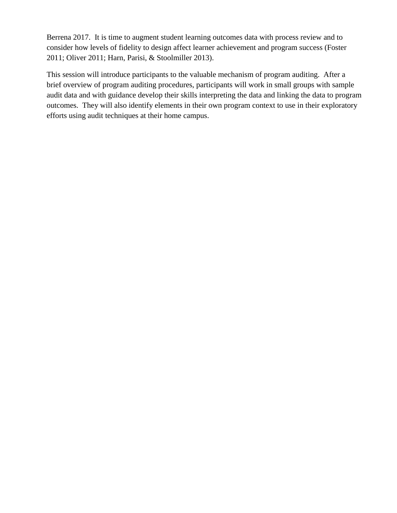Berrena 2017. It is time to augment student learning outcomes data with process review and to consider how levels of fidelity to design affect learner achievement and program success (Foster 2011; Oliver 2011; Harn, Parisi, & Stoolmiller 2013).

This session will introduce participants to the valuable mechanism of program auditing. After a brief overview of program auditing procedures, participants will work in small groups with sample audit data and with guidance develop their skills interpreting the data and linking the data to program outcomes. They will also identify elements in their own program context to use in their exploratory efforts using audit techniques at their home campus.